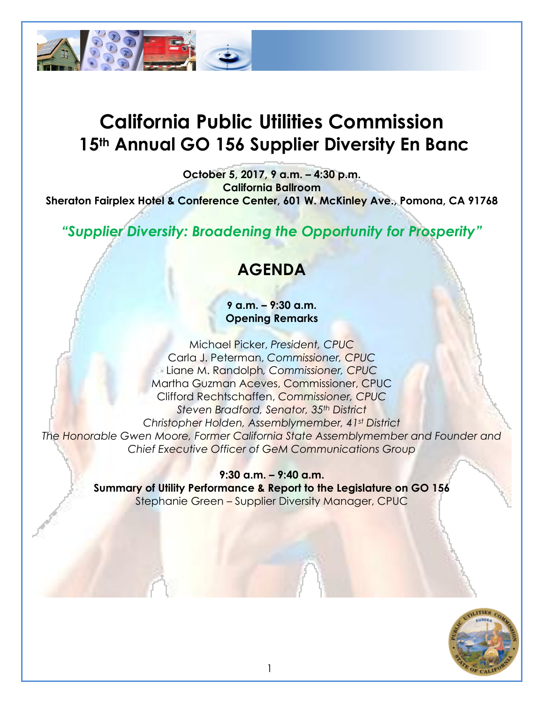

# **California Public Utilities Commission 15th Annual GO 156 Supplier Diversity En Banc**

**October 5, 2017, 9 a.m. – 4:30 p.m. California Ballroom Sheraton Fairplex Hotel & Conference Center, 601 W. McKinley Ave., Pomona, CA 91768**

*"Supplier Diversity: Broadening the Opportunity for Prosperity"*

# **AGENDA**

**9 a.m. – 9:30 a.m. Opening Remarks**

Michael Picker, *President, CPUC* Carla J. Peterman, *Commissioner, CPUC* Liane M. Randolph*, Commissioner, CPUC* Martha Guzman Aceves, Commissioner, CPUC Clifford Rechtschaffen, *Commissioner, CPUC Steven Bradford, Senator, 35th District Christopher Holden, Assemblymember, 41st District The Honorable Gwen Moore, Former California State Assemblymember and Founder and Chief Executive Officer of GeM Communications Group*

> **9:30 a.m. – 9:40 a.m. Summary of Utility Performance & Report to the Legislature on GO 156** Stephanie Green – Supplier Diversity Manager, CPUC

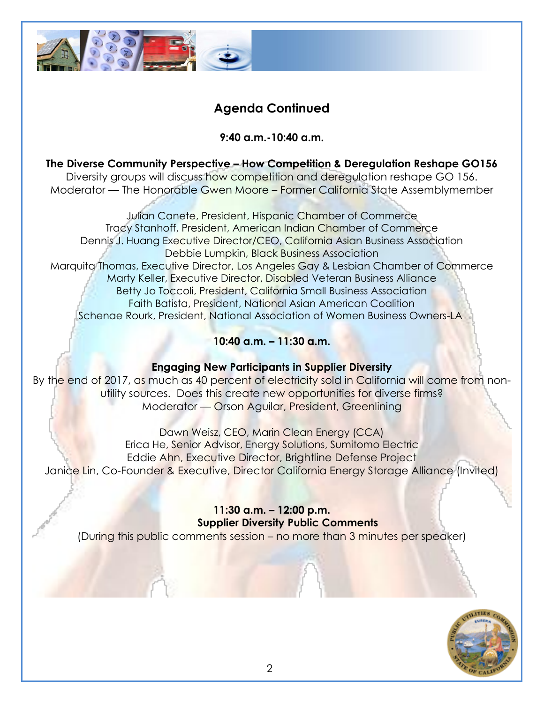

## **Agenda Continued**

**9:40 a.m.-10:40 a.m.**

**The Diverse Community Perspective – How Competition & Deregulation Reshape GO156** Diversity groups will discuss how competition and deregulation reshape GO 156. Moderator — The Honorable Gwen Moore – Former California State Assemblymember

Julian Canete, President, Hispanic Chamber of Commerce Tracy Stanhoff, President, American Indian Chamber of Commerce Dennis J. Huang Executive Director/CEO, California Asian Business Association Debbie Lumpkin, Black Business Association Marquita Thomas, Executive Director, Los Angeles Gay & Lesbian Chamber of Commerce Marty Keller, Executive Director, Disabled Veteran Business Alliance Betty Jo Toccoli, President, California Small Business Association Faith Batista, President, National Asian American Coalition Schenae Rourk, President, National Association of Women Business Owners-LA

#### **10:40 a.m. – 11:30 a.m.**

#### **Engaging New Participants in Supplier Diversity**

By the end of 2017, as much as 40 percent of electricity sold in California will come from nonutility sources. Does this create new opportunities for diverse firms? Moderator — Orson Aguilar, President, Greenlining

Dawn Weisz, CEO, Marin Clean Energy (CCA) Erica He, Senior Advisor, Energy Solutions, Sumitomo Electric Eddie Ahn, Executive Director, Brightline Defense Project Janice Lin, Co-Founder & Executive, Director California Energy Storage Alliance (Invited)

> **11:30 a.m. – 12:00 p.m. Supplier Diversity Public Comments**

(During this public comments session – no more than 3 minutes per speaker)

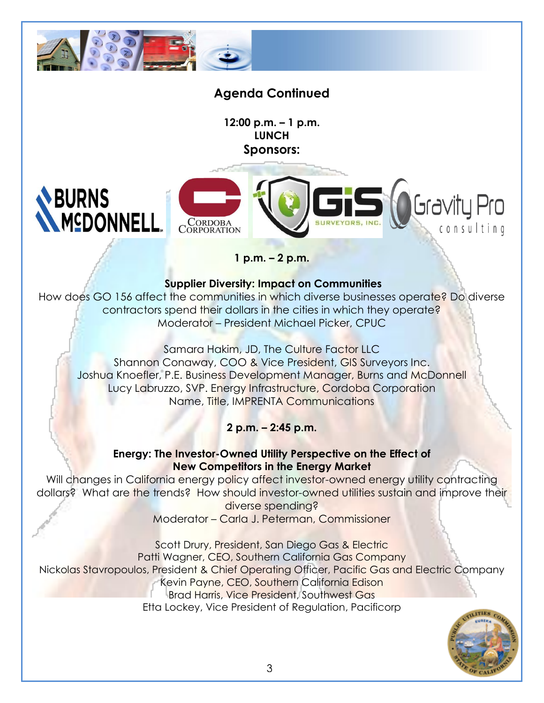

## **Agenda Continued**

**12:00 p.m. – 1 p.m. LUNCH Sponsors:**

# **BURNS MCDONNEL**



**1 p.m. – 2 p.m.** 

#### **Supplier Diversity: Impact on Communities**

How does GO 156 affect the communities in which diverse businesses operate? Do diverse contractors spend their dollars in the cities in which they operate? Moderator – President Michael Picker, CPUC

Samara Hakim, JD, The Culture Factor LLC Shannon Conaway, COO & Vice President, GIS Surveyors Inc. Joshua Knoefler, P.E. Business Development Manager, Burns and McDonnell Lucy Labruzzo, SVP. Energy Infrastructure, Cordoba Corporation Name, Title, IMPRENTA Communications

#### **2 p.m. – 2:45 p.m.**

#### **Energy: The Investor-Owned Utility Perspective on the Effect of New Competitors in the Energy Market**

Will changes in California energy policy affect investor-owned energy utility contracting dollars? What are the trends? How should investor-owned utilities sustain and improve their diverse spending?

Moderator – Carla J. Peterman, Commissioner

Scott Drury, President, San Diego Gas & Electric Patti Wagner, CEO, Southern California Gas Company Nickolas Stavropoulos, President & Chief Operating Officer, Pacific Gas and Electric Company Kevin Payne, CEO, Southern California Edison Brad Harris, Vice President, Southwest Gas Etta Lockey, Vice President of Regulation, Pacificorp



: onsulting